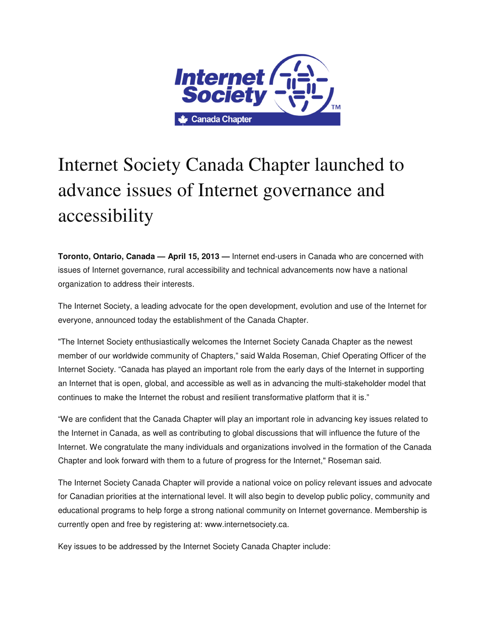

## Internet Society Canada Chapter launched to advance issues of Internet governance and accessibility

**Toronto, Ontario, Canada — April 15, 2013 —** Internet end-users in Canada who are concerned with issues of Internet governance, rural accessibility and technical advancements now have a national organization to address their interests.

The Internet Society, a leading advocate for the open development, evolution and use of the Internet for everyone, announced today the establishment of the Canada Chapter.

"The Internet Society enthusiastically welcomes the Internet Society Canada Chapter as the newest member of our worldwide community of Chapters," said Walda Roseman, Chief Operating Officer of the Internet Society. "Canada has played an important role from the early days of the Internet in supporting an Internet that is open, global, and accessible as well as in advancing the multi-stakeholder model that continues to make the Internet the robust and resilient transformative platform that it is."

"We are confident that the Canada Chapter will play an important role in advancing key issues related to the Internet in Canada, as well as contributing to global discussions that will influence the future of the Internet. We congratulate the many individuals and organizations involved in the formation of the Canada Chapter and look forward with them to a future of progress for the Internet," Roseman said.

The Internet Society Canada Chapter will provide a national voice on policy relevant issues and advocate for Canadian priorities at the international level. It will also begin to develop public policy, community and educational programs to help forge a strong national community on Internet governance. Membership is currently open and free by registering at: www.internetsociety.ca.

Key issues to be addressed by the Internet Society Canada Chapter include: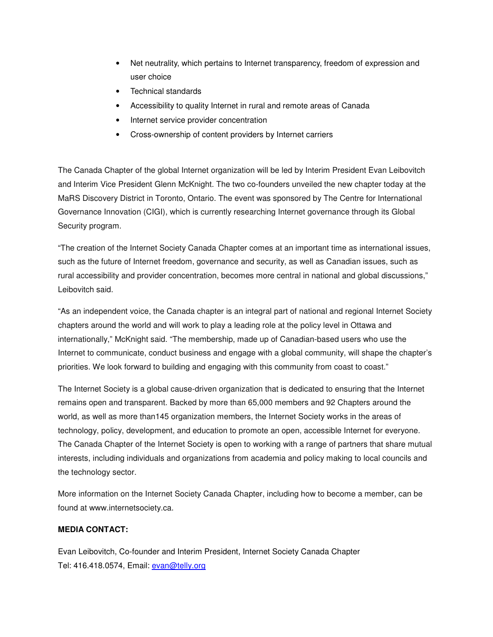- Net neutrality, which pertains to Internet transparency, freedom of expression and user choice
- Technical standards
- Accessibility to quality Internet in rural and remote areas of Canada
- Internet service provider concentration
- Cross-ownership of content providers by Internet carriers

The Canada Chapter of the global Internet organization will be led by Interim President Evan Leibovitch and Interim Vice President Glenn McKnight. The two co-founders unveiled the new chapter today at the MaRS Discovery District in Toronto, Ontario. The event was sponsored by The Centre for International Governance Innovation (CIGI), which is currently researching Internet governance through its Global Security program.

"The creation of the Internet Society Canada Chapter comes at an important time as international issues, such as the future of Internet freedom, governance and security, as well as Canadian issues, such as rural accessibility and provider concentration, becomes more central in national and global discussions," Leibovitch said.

"As an independent voice, the Canada chapter is an integral part of national and regional Internet Society chapters around the world and will work to play a leading role at the policy level in Ottawa and internationally," McKnight said. "The membership, made up of Canadian-based users who use the Internet to communicate, conduct business and engage with a global community, will shape the chapter's priorities. We look forward to building and engaging with this community from coast to coast."

The Internet Society is a global cause-driven organization that is dedicated to ensuring that the Internet remains open and transparent. Backed by more than 65,000 members and 92 Chapters around the world, as well as more than145 organization members, the Internet Society works in the areas of technology, policy, development, and education to promote an open, accessible Internet for everyone. The Canada Chapter of the Internet Society is open to working with a range of partners that share mutual interests, including individuals and organizations from academia and policy making to local councils and the technology sector.

More information on the Internet Society Canada Chapter, including how to become a member, can be found at www.internetsociety.ca.

## **MEDIA CONTACT:**

Evan Leibovitch, Co-founder and Interim President, Internet Society Canada Chapter Tel: 416.418.0574, Email: evan@telly.org